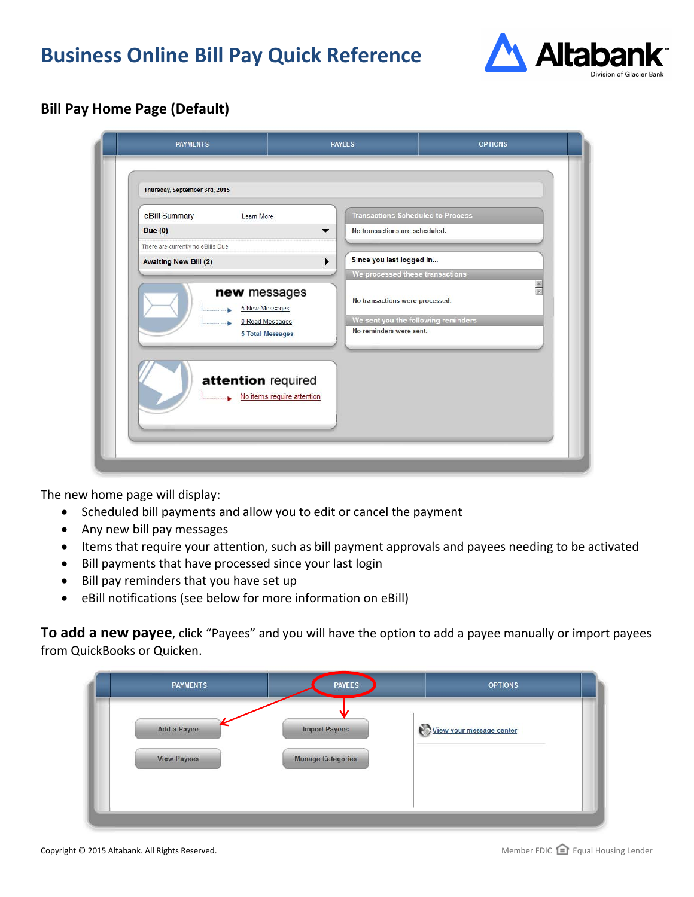# **Business Online Bill Pay Quick Reference**



## **Bill Pay Home Page (Default)**

| eBill Summary<br>Learn More                                                         | <b>Transactions Scheduled to Process</b>                   |                                     |
|-------------------------------------------------------------------------------------|------------------------------------------------------------|-------------------------------------|
| <b>Due (0)</b>                                                                      | No transactions are scheduled.                             |                                     |
| There are currently no eBills Due                                                   |                                                            |                                     |
| <b>Awaiting New Bill (2)</b>                                                        | Since you last logged in<br>۱                              |                                     |
|                                                                                     | We processed these transactions                            | 图图                                  |
| new messages<br>5 New Messages<br><b>0 Read Messages</b><br><b>5 Total Messages</b> | No transactions were processed.<br>No reminders were sent. | We sent you the following reminders |
| attention required<br>No items require attention                                    |                                                            |                                     |

The new home page will display:

- Scheduled bill payments and allow you to edit or cancel the payment
- Any new bill pay messages
- Items that require your attention, such as bill payment approvals and payees needing to be activated
- Bill payments that have processed since your last login
- Bill pay reminders that you have set up
- eBill notifications (see below for more information on eBill)

**To add a new payee**, click "Payees" and you will have the option to add a payee manually or import payees from QuickBooks or Quicken.

| <b>PAYMENTS</b>                   | <b>PAYEES</b>                                    | <b>OPTIONS</b>           |
|-----------------------------------|--------------------------------------------------|--------------------------|
| Add a Payee<br><b>View Payees</b> | <b>Import Payees</b><br><b>Manage Categories</b> | View your message center |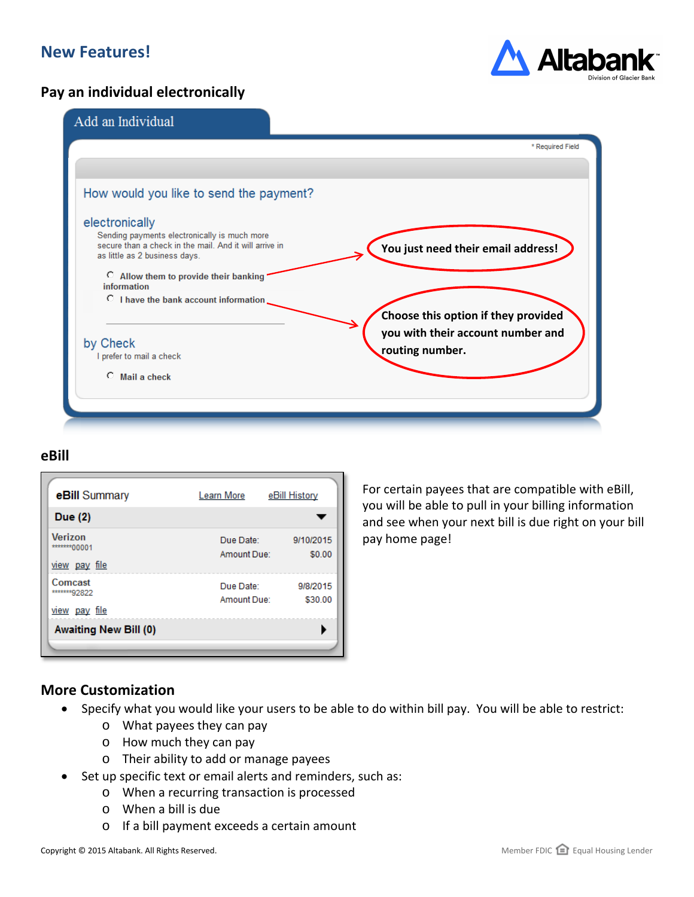# **New Features!**

#### **Pay an individual electronically**



| Add an Individual                                                                                                                       |                                                      |
|-----------------------------------------------------------------------------------------------------------------------------------------|------------------------------------------------------|
|                                                                                                                                         | * Required Field                                     |
|                                                                                                                                         |                                                      |
| How would you like to send the payment?                                                                                                 |                                                      |
| electronically                                                                                                                          |                                                      |
| Sending payments electronically is much more<br>secure than a check in the mail. And it will arrive in<br>as little as 2 business days. | You just need their email address!                   |
| C Allow them to provide their banking<br>information                                                                                    |                                                      |
| C I have the bank account information                                                                                                   |                                                      |
|                                                                                                                                         | Choose this option if they provided                  |
| by Check                                                                                                                                | you with their account number and<br>routing number. |
| I prefer to mail a check                                                                                                                |                                                      |
| $\circ$ Mail a check                                                                                                                    |                                                      |

#### **eBill**

| eBill Summary                                   | Learn More               | eBill History       |
|-------------------------------------------------|--------------------------|---------------------|
| Due (2)                                         |                          |                     |
| <b>Verizon</b><br>*******00001<br>view pay file | Due Date:<br>Amount Due: | 9/10/2015<br>\$0.00 |
| Comcast<br>*******92822<br>view pay file        | Due Date:<br>Amount Due: | 9/8/2015<br>\$30.00 |
| <b>Awaiting New Bill (0)</b>                    |                          |                     |

For certain payees that are compatible with eBill, you will be able to pull in your billing information and see when your next bill is due right on your bill pay home page!

#### **More Customization**

- Specify what you would like your users to be able to do within bill pay. You will be able to restrict:
	- o What payees they can pay
	- o How much they can pay
	- o Their ability to add or manage payees
- Set up specific text or email alerts and reminders, such as:
	- o When a recurring transaction is processed
	- o When a bill is due
	- o If a bill payment exceeds a certain amount